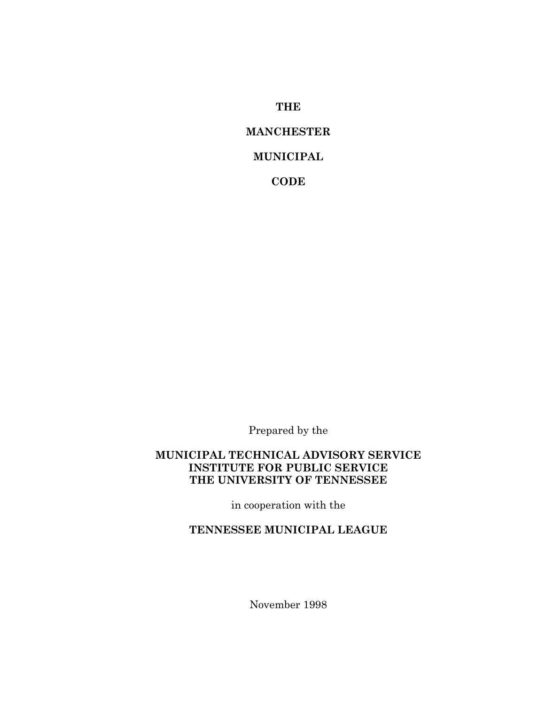**THE**

# **MANCHESTER**

# **MUNICIPAL**

**CODE**

Prepared by the

#### **MUNICIPAL TECHNICAL ADVISORY SERVICE INSTITUTE FOR PUBLIC SERVICE THE UNIVERSITY OF TENNESSEE**

in cooperation with the

# **TENNESSEE MUNICIPAL LEAGUE**

November 1998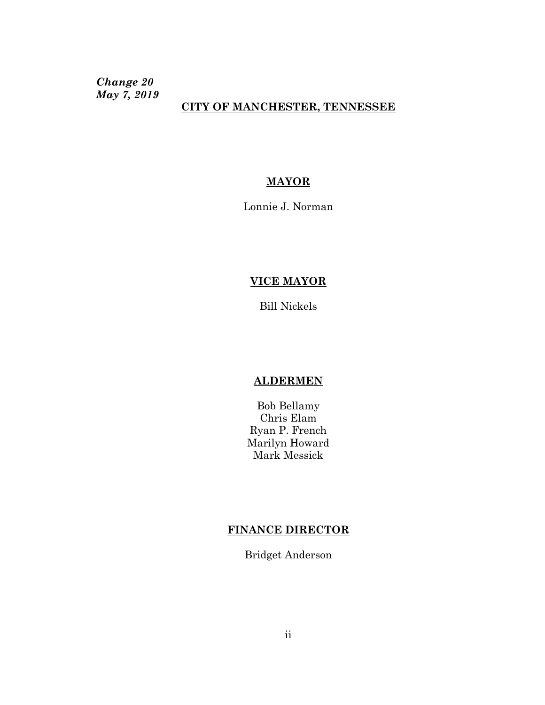*Change 20 May 7, 2019*

## **CITY OF MANCHESTER, TENNESSEE**

## **MAYOR**

Lonnie J. Norman

## **VICE MAYOR**

Bill Nickels

#### **ALDERMEN**

Bob Bellamy Chris Elam Ryan P. French Marilyn Howard Mark Messick

## **FINANCE DIRECTOR**

Bridget Anderson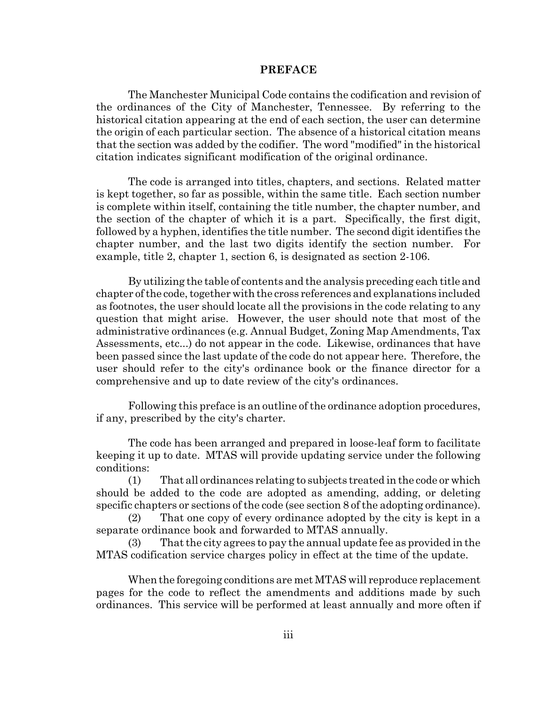#### **PREFACE**

The Manchester Municipal Code contains the codification and revision of the ordinances of the City of Manchester, Tennessee. By referring to the historical citation appearing at the end of each section, the user can determine the origin of each particular section. The absence of a historical citation means that the section was added by the codifier. The word "modified" in the historical citation indicates significant modification of the original ordinance.

The code is arranged into titles, chapters, and sections. Related matter is kept together, so far as possible, within the same title. Each section number is complete within itself, containing the title number, the chapter number, and the section of the chapter of which it is a part. Specifically, the first digit, followed by a hyphen, identifies the title number. The second digit identifies the chapter number, and the last two digits identify the section number. For example, title 2, chapter 1, section 6, is designated as section 2-106.

By utilizing the table of contents and the analysis preceding each title and chapter of the code, together with the cross references and explanations included as footnotes, the user should locate all the provisions in the code relating to any question that might arise. However, the user should note that most of the administrative ordinances (e.g. Annual Budget, Zoning Map Amendments, Tax Assessments, etc...) do not appear in the code. Likewise, ordinances that have been passed since the last update of the code do not appear here. Therefore, the user should refer to the city's ordinance book or the finance director for a comprehensive and up to date review of the city's ordinances.

Following this preface is an outline of the ordinance adoption procedures, if any, prescribed by the city's charter.

The code has been arranged and prepared in loose-leaf form to facilitate keeping it up to date. MTAS will provide updating service under the following conditions:

(1) That all ordinances relating to subjects treated in the code or which should be added to the code are adopted as amending, adding, or deleting specific chapters or sections of the code (see section 8 of the adopting ordinance).

(2) That one copy of every ordinance adopted by the city is kept in a separate ordinance book and forwarded to MTAS annually.

(3) That the city agrees to pay the annual update fee as provided in the MTAS codification service charges policy in effect at the time of the update.

When the foregoing conditions are met MTAS will reproduce replacement pages for the code to reflect the amendments and additions made by such ordinances. This service will be performed at least annually and more often if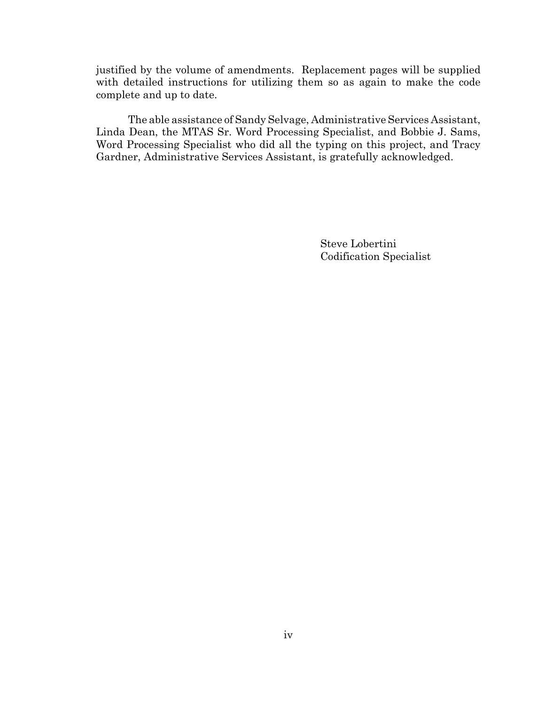justified by the volume of amendments. Replacement pages will be supplied with detailed instructions for utilizing them so as again to make the code complete and up to date.

The able assistance of Sandy Selvage, Administrative Services Assistant, Linda Dean, the MTAS Sr. Word Processing Specialist, and Bobbie J. Sams, Word Processing Specialist who did all the typing on this project, and Tracy Gardner, Administrative Services Assistant, is gratefully acknowledged.

> Steve Lobertini Codification Specialist